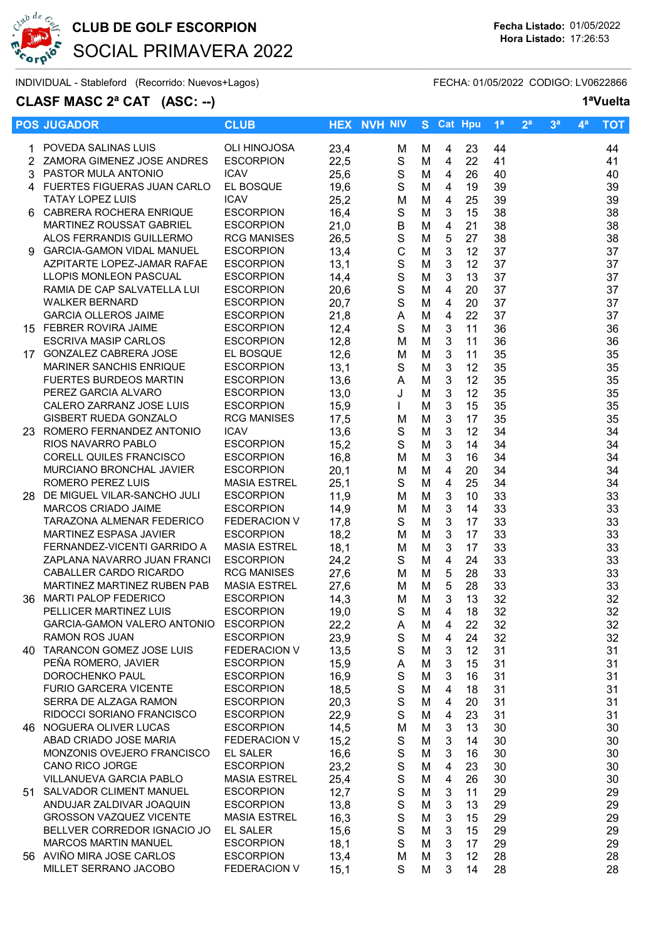

## CLUB DE GOLF ESCORPION Fecha Listado: 01/05/2022 SOCIAL PRIMAVERA 2022

INDIVIDUAL - Stableford (Recorrido: Nuevos+Lagos) FECHA: 01/05/2022 CODIGO: LV0622866

## CLASF MASC 2<sup>ª</sup> CAT (ASC: --) 1<sup>ª</sup>Vuelta

| <b>POS JUGADOR</b>                                    | <b>CLUB</b>                             |              | <b>HEX NVH NIV</b> |        | S Cat Hpu                 |          | 1 <sup>a</sup> | 2 <sup>a</sup> | 3 <sup>a</sup> | 4 <sup>a</sup> | <b>TOT</b> |
|-------------------------------------------------------|-----------------------------------------|--------------|--------------------|--------|---------------------------|----------|----------------|----------------|----------------|----------------|------------|
| 1 POVEDA SALINAS LUIS                                 | <b>OLI HINOJOSA</b>                     | 23,4         | M                  | M      | 4                         | 23       | 44             |                |                |                | 44         |
| 2 ZAMORA GIMENEZ JOSE ANDRES                          | <b>ESCORPION</b>                        | 22,5         | S                  | M      | 4                         | 22       | 41             |                |                |                | 41         |
| 3 PASTOR MULA ANTONIO                                 | <b>ICAV</b>                             | 25,6         | ${\mathsf S}$      | M      | 4                         | 26       | 40             |                |                |                | 40         |
| 4 FUERTES FIGUERAS JUAN CARLO                         | EL BOSQUE                               | 19,6         | ${\mathsf S}$      | M      | 4                         | 19       | 39             |                |                |                | 39         |
| <b>TATAY LOPEZ LUIS</b>                               | <b>ICAV</b>                             | 25,2         | M                  | M      | 4                         | 25       | 39             |                |                |                | 39         |
| 6 CABRERA ROCHERA ENRIQUE                             | <b>ESCORPION</b>                        | 16,4         | ${\mathsf S}$      | M      | 3                         | 15       | 38             |                |                |                | 38         |
| MARTINEZ ROUSSAT GABRIEL                              | <b>ESCORPION</b>                        | 21,0         | B                  | M      | $\overline{4}$            | 21       | 38             |                |                |                | 38         |
| ALOS FERRANDIS GUILLERMO                              | <b>RCG MANISES</b>                      | 26,5         | ${\mathsf S}$      | M      | $\sqrt{5}$                | 27       | 38             |                |                |                | 38         |
| 9 GARCIA-GAMON VIDAL MANUEL                           | <b>ESCORPION</b>                        | 13,4         | $\mathsf C$        | M      | $\mathbf{3}$              | 12       | 37             |                |                |                | 37         |
| AZPITARTE LOPEZ-JAMAR RAFAE                           | <b>ESCORPION</b>                        | 13,1         | $\mathbf S$        | M      | $\mathbf{3}$              | 12       | 37             |                |                |                | 37         |
| LLOPIS MONLEON PASCUAL                                | <b>ESCORPION</b>                        | 14,4         | $\mathbf S$        | M      | 3                         | 13       | 37             |                |                |                | 37         |
| RAMIA DE CAP SALVATELLA LUI                           | <b>ESCORPION</b>                        | 20,6         | $\mathbf S$        | M      | $\overline{4}$            | 20       | 37             |                |                |                | 37         |
| <b>WALKER BERNARD</b>                                 | <b>ESCORPION</b>                        | 20,7         | $\mathbf S$        | M      | $\overline{4}$            | 20       | 37             |                |                |                | 37         |
| <b>GARCIA OLLEROS JAIME</b>                           | <b>ESCORPION</b>                        | 21,8         | A                  | M      | 4                         | 22       | 37             |                |                |                | 37         |
| 15 FEBRER ROVIRA JAIME                                | <b>ESCORPION</b>                        | 12,4         | S                  | M      | $\mathbf{3}$              | 11       | 36             |                |                |                | 36         |
| <b>ESCRIVA MASIP CARLOS</b>                           | <b>ESCORPION</b>                        | 12,8         | M                  | M      | $\mathbf{3}$              | 11       | 36             |                |                |                | 36         |
| 17 GONZALEZ CABRERA JOSE                              | EL BOSQUE                               | 12,6         | M                  | M      | 3                         | 11       | 35             |                |                |                | 35         |
| MARINER SANCHIS ENRIQUE                               | <b>ESCORPION</b>                        | 13,1         | S                  | M      | 3                         | 12       | 35             |                |                |                | 35         |
| <b>FUERTES BURDEOS MARTIN</b>                         | <b>ESCORPION</b>                        | 13,6         | A                  | M      | $\mathbf{3}$              | 12       | 35             |                |                |                | 35         |
| PEREZ GARCIA ALVARO                                   | <b>ESCORPION</b>                        | 13,0         | J                  | M      | $\mathbf{3}$              | 12       | 35             |                |                |                | 35         |
| CALERO ZARRANZ JOSE LUIS                              | <b>ESCORPION</b>                        | 15,9         | $\mathbf{I}$       | M      | $\mathbf{3}$              | 15       | 35             |                |                |                | 35         |
| GISBERT RUEDA GONZALO                                 | <b>RCG MANISES</b>                      | 17,5         | M                  | M      | $\ensuremath{\mathsf{3}}$ | 17       | 35             |                |                |                | 35         |
| 23 ROMERO FERNANDEZ ANTONIO                           | <b>ICAV</b>                             | 13,6         | $\mathbf S$        | M      | $\mathbf{3}$              | 12       | 34             |                |                |                | 34         |
| RIOS NAVARRO PABLO                                    | <b>ESCORPION</b>                        | 15,2         | $\mathbf S$        | M      | $\mathbf{3}$              | 14       | 34             |                |                |                | 34         |
| CORELL QUILES FRANCISCO                               | <b>ESCORPION</b>                        | 16,8         | M                  | M      | 3                         | 16       | 34             |                |                |                | 34         |
| MURCIANO BRONCHAL JAVIER                              | <b>ESCORPION</b>                        | 20,1         | M                  | M      | $\overline{4}$            | 20       | 34             |                |                |                | 34         |
| ROMERO PEREZ LUIS                                     | <b>MASIA ESTREL</b>                     | 25,1         | S                  | M      | 4                         | 25       | 34             |                |                |                | 34         |
| 28 DE MIGUEL VILAR-SANCHO JULI                        | <b>ESCORPION</b>                        | 11,9         | М                  | M      | $\mathbf{3}$              | 10       | 33             |                |                |                | 33         |
| MARCOS CRIADO JAIME                                   | <b>ESCORPION</b>                        | 14,9         | М                  | M      | 3                         | 14       | 33             |                |                |                | 33         |
| TARAZONA ALMENAR FEDERICO                             | FEDERACION V                            | 17,8         | S                  | M      | 3                         | 17       | 33             |                |                |                | 33         |
| MARTINEZ ESPASA JAVIER<br>FERNANDEZ-VICENTI GARRIDO A | <b>ESCORPION</b><br><b>MASIA ESTREL</b> | 18,2         | М                  | M      | 3<br>3                    | 17<br>17 | 33<br>33       |                |                |                | 33         |
| ZAPLANA NAVARRO JUAN FRANCI                           | <b>ESCORPION</b>                        | 18,1<br>24,2 | М<br>S             | M<br>M | $\overline{4}$            | 24       | 33             |                |                |                | 33<br>33   |
| CABALLER CARDO RICARDO                                | <b>RCG MANISES</b>                      | 27,6         | М                  | M      | 5                         | 28       | 33             |                |                |                | 33         |
| MARTINEZ MARTINEZ RUBEN PAB                           | <b>MASIA ESTREL</b>                     | 27,6         | M                  | M      | $\sqrt{5}$                | 28       | 33             |                |                |                | 33         |
| 36 MARTI PALOP FEDERICO                               | <b>ESCORPION</b>                        | 14,3         | M                  | M      | 3                         | 13       | 32             |                |                |                | 32         |
| PELLICER MARTINEZ LUIS                                | <b>ESCORPION</b>                        | 19,0         | S.                 | М      | 4                         | 18       | 32             |                |                |                | 32         |
| GARCIA-GAMON VALERO ANTONIO ESCORPION                 |                                         | 22,2         | A                  | M      | 4                         | 22       | 32             |                |                |                | 32         |
| <b>RAMON ROS JUAN</b>                                 | <b>ESCORPION</b>                        | 23,9         | S                  | M      | 4                         | 24       | 32             |                |                |                | 32         |
| 40 TARANCON GOMEZ JOSE LUIS                           | <b>FEDERACION V</b>                     | 13,5         | S                  | M      | 3                         | 12       | 31             |                |                |                | 31         |
| PEÑA ROMERO, JAVIER                                   | <b>ESCORPION</b>                        | 15,9         | A                  | M      | 3                         | 15       | 31             |                |                |                | 31         |
| DOROCHENKO PAUL                                       | <b>ESCORPION</b>                        | 16,9         | $\mathsf S$        | M      | 3                         | 16       | 31             |                |                |                | 31         |
| FURIO GARCERA VICENTE                                 | <b>ESCORPION</b>                        | 18,5         | $\mathbf S$        | M      | 4                         | 18       | 31             |                |                |                | 31         |
| SERRA DE ALZAGA RAMON                                 | <b>ESCORPION</b>                        | 20,3         | $\mathbf S$        | M      | 4                         | 20       | 31             |                |                |                | 31         |
| RIDOCCI SORIANO FRANCISCO                             | <b>ESCORPION</b>                        | 22,9         | S                  | M      | $\overline{4}$            | 23       | 31             |                |                |                | 31         |
| 46 NOGUERA OLIVER LUCAS                               | <b>ESCORPION</b>                        | 14,5         | M                  | M      | 3                         | 13       | 30             |                |                |                | 30         |
| ABAD CRIADO JOSE MARIA                                | <b>FEDERACION V</b>                     | 15,2         | S                  | M      | 3                         | 14       | 30             |                |                |                | 30         |
| MONZONIS OVEJERO FRANCISCO                            | <b>EL SALER</b>                         | 16,6         | $\mathbf S$        | M      | $\mathbf{3}$              | 16       | 30             |                |                |                | 30         |
| CANO RICO JORGE                                       | <b>ESCORPION</b>                        | 23,2         | $\mathsf S$        | M      | 4                         | 23       | 30             |                |                |                | 30         |
| VILLANUEVA GARCIA PABLO                               | <b>MASIA ESTREL</b>                     | 25,4         | $\mathsf S$        | M      | 4                         | 26       | 30             |                |                |                | 30         |
| 51 SALVADOR CLIMENT MANUEL                            | <b>ESCORPION</b>                        | 12,7         | $\mathsf S$        | M      | 3                         | 11       | 29             |                |                |                | 29         |
| ANDUJAR ZALDIVAR JOAQUIN                              | <b>ESCORPION</b>                        | 13,8         | $\mathbf S$        | M      | 3                         | 13       | 29             |                |                |                | 29         |
| <b>GROSSON VAZQUEZ VICENTE</b>                        | <b>MASIA ESTREL</b>                     | 16,3         | $\mathbf S$        | M      | 3                         | 15       | 29             |                |                |                | 29         |
| BELLVER CORREDOR IGNACIO JO                           | <b>EL SALER</b>                         | 15,6         | $\mathbf S$        | M      | 3                         | 15       | 29             |                |                |                | 29         |
| <b>MARCOS MARTIN MANUEL</b>                           | <b>ESCORPION</b>                        | 18,1         | S                  | M      | 3                         | 17       | 29             |                |                |                | 29         |
| 56 AVIÑO MIRA JOSE CARLOS                             | <b>ESCORPION</b>                        | 13,4         | M                  | M      | 3                         | 12       | 28             |                |                |                | 28         |
| MILLET SERRANO JACOBO                                 | FEDERACION V                            | 15,1         | S                  | M      | 3                         | 14       | 28             |                |                |                | 28         |